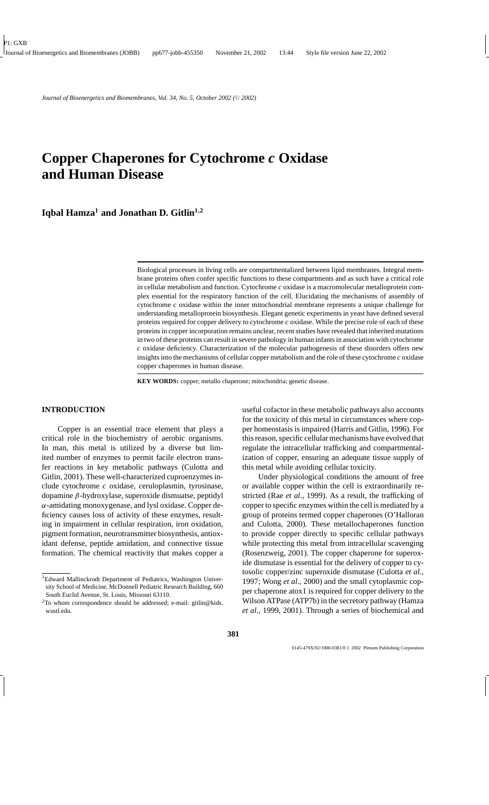# **Copper Chaperones for Cytochrome** *c* **Oxidase and Human Disease**

**Iqbal Hamza<sup>1</sup> and Jonathan D. Gitlin<sup>1</sup>***,***<sup>2</sup>**

Biological processes in living cells are compartmentalized between lipid membranes. Integral membrane proteins often confer specific functions to these compartments and as such have a critical role in cellular metabolism and function. Cytochrome *c* oxidase is a macromolecular metalloprotein complex essential for the respiratory function of the cell. Elucidating the mechanisms of assembly of cytochrome *c* oxidase within the inner mitochondrial membrane represents a unique challenge for understanding metalloprotein biosynthesis. Elegant genetic experiments in yeast have defined several proteins required for copper delivery to cytochrome *c* oxidase. While the precise role of each of these proteins in copper incorporation remains unclear, recent studies have revealed that inherited mutations in two of these proteins can result in severe pathology in human infants in association with cytochrome *c* oxidase deficiency. Characterization of the molecular pathogenesis of these disorders offers new insights into the mechanisms of cellular copper metabolism and the role of these cytochrome *c* oxidase copper chaperones in human disease.

**KEY WORDS:** copper; metallo chaperone; mitochondria; genetic disease.

# **INTRODUCTION**

Copper is an essential trace element that plays a critical role in the biochemistry of aerobic organisms. In man, this metal is utilized by a diverse but limited number of enzymes to permit facile electron transfer reactions in key metabolic pathways (Culotta and Gitlin, 2001). These well-characterized cuproenzymes include cytochrome *c* oxidase, ceruloplasmin, tyrosinase, dopamine β-hydroxylase, superoxide dismuatse, peptidyl  $\alpha$ -amidating monoxygenase, and lysl oxidase. Copper deficiency causes loss of activity of these enzymes, resulting in impairment in cellular respiration, iron oxidation, pigment formation, neurotransmitter biosynthesis, antioxidant defense, peptide amidation, and connective tissue formation. The chemical reactivity that makes copper a useful cofactor in these metabolic pathways also accounts for the toxicity of this metal in circumstances where copper homeostasis is impaired (Harris and Gitlin, 1996). For this reason, specific cellular mechanisms have evolved that regulate the intracellular trafficking and compartmentalization of copper, ensuring an adequate tissue supply of this metal while avoiding cellular toxicity.

Under physiological conditions the amount of free or available copper within the cell is extraordinarily restricted (Rae *et al.*, 1999). As a result, the trafficking of copper to specific enzymes within the cell is mediated by a group of proteins termed copper chaperones (O'Halloran and Culotta, 2000). These metallochaperones function to provide copper directly to specific cellular pathways while protecting this metal from intracellular scavenging (Rosenzweig, 2001). The copper chaperone for superoxide dismutase is essential for the delivery of copper to cytosolic copper/zinc superoxide dismutase (Culotta *et al.*, 1997; Wong *et al.*, 2000) and the small cytoplasmic copper chaperone atox1 is required for copper delivery to the Wilson ATPase (ATP7b) in the secretory pathway (Hamza *et al*., 1999, 2001). Through a series of biochemical and

<sup>1</sup>Edward Mallinckrodt Department of Pediatrics, Washington University School of Medicine, McDonnell Pediatric Research Building, 660 South Euclid Avenue, St. Louis, Missouri 63110.

<sup>2</sup>To whom correspondence should be addressed; e-mail: gitlin@kids. wustl.edu.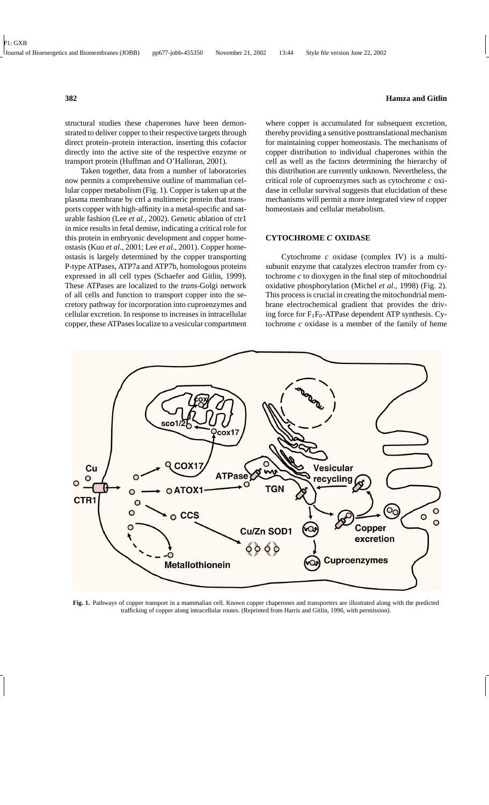structural studies these chaperones have been demonstrated to deliver copper to their respective targets through direct protein–protein interaction, inserting this cofactor directly into the active site of the respective enzyme or transport protein (Huffman and O'Halloran, 2001).

Taken together, data from a number of laboratories now permits a comprehensive outline of mammalian cellular copper metabolism (Fig. 1). Copper is taken up at the plasma membrane by ctrl a multimeric protein that transports copper with high-affinity in a metal-specific and saturable fashion (Lee *et al.*, 2002). Genetic ablation of ctr1 in mice results in fetal demise, indicating a critical role for this protein in embryonic development and copper homeostasis (Kuo *et al*., 2001; Lee *et al*., 2001). Copper homeostasis is largely determined by the copper transporting P-type ATPases, ATP7a and ATP7b, homologous proteins expressed in all cell types (Schaefer and Gitlin, 1999). These ATPases are localized to the *trans*-Golgi network of all cells and function to transport copper into the secretory pathway for incorporation into cuproenzymes and cellular excretion. In response to increases in intracellular copper, these ATPases localize to a vesicular compartment

where copper is accumulated for subsequent excretion, thereby providing a sensitive posttranslational mechanism for maintaining copper homeostasis. The mechanisms of copper distribution to individual chaperones within the cell as well as the factors determining the hierarchy of this distribution are currently unknown. Nevertheless, the critical role of cuproenzymes such as cytochrome *c* oxidase in cellular survival suggests that elucidation of these mechanisms will permit a more integrated view of copper homeostasis and cellular metabolism.

## **CYTOCHROME** *C* **OXIDASE**

Cytochrome *c* oxidase (complex IV) is a multisubunit enzyme that catalyzes electron transfer from cytochrome *c* to dioxygen in the final step of mitochondrial oxidative phosphorylation (Michel *et al*., 1998) (Fig. 2). This process is crucial in creating the mitochondrial membrane electrochemical gradient that provides the driving force for  $F_1F_0$ -ATPase dependent ATP synthesis. Cytochrome *c* oxidase is a member of the family of heme



**Fig. 1.** Pathways of copper transport in a mammalian cell. Known copper chaperones and transporters are illustrated along with the predicted trafficking of copper along intracellular routes. (Reprinted from Harris and Gitlin, 1996, with permission).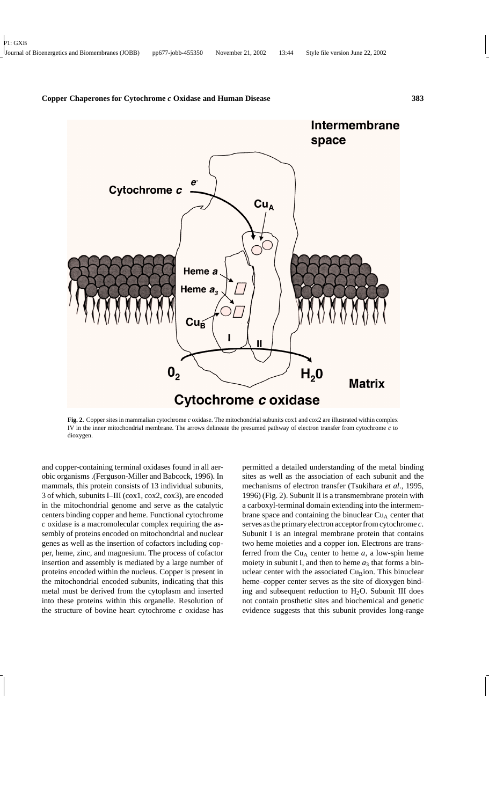

**Fig. 2.** Copper sites in mammalian cytochrome *c* oxidase. The mitochondrial subunits cox1 and cox2 are illustrated within complex IV in the inner mitochondrial membrane. The arrows delineate the presumed pathway of electron transfer from cytochrome *c* to dioxygen.

and copper-containing terminal oxidases found in all aerobic organisms .(Ferguson-Miller and Babcock, 1996). In mammals, this protein consists of 13 individual subunits, 3 of which, subunits I–III (cox1, cox2, cox3), are encoded in the mitochondrial genome and serve as the catalytic centers binding copper and heme. Functional cytochrome *c* oxidase is a macromolecular complex requiring the assembly of proteins encoded on mitochondrial and nuclear genes as well as the insertion of cofactors including copper, heme, zinc, and magnesium. The process of cofactor insertion and assembly is mediated by a large number of proteins encoded within the nucleus. Copper is present in the mitochondrial encoded subunits, indicating that this metal must be derived from the cytoplasm and inserted into these proteins within this organelle. Resolution of the structure of bovine heart cytochrome *c* oxidase has

permitted a detailed understanding of the metal binding sites as well as the association of each subunit and the mechanisms of electron transfer (Tsukihara *et al*., 1995, 1996) (Fig. 2). Subunit II is a transmembrane protein with a carboxyl-terminal domain extending into the intermembrane space and containing the binuclear  $Cu<sub>A</sub>$  center that serves as the primary electron acceptor from cytochrome *c*. Subunit I is an integral membrane protein that contains two heme moieties and a copper ion. Electrons are transferred from the Cu<sub>A</sub> center to heme  $a$ , a low-spin heme moiety in subunit I, and then to heme  $a_3$  that forms a binuclear center with the associated  $Cu<sub>B</sub>$ ion. This binuclear heme–copper center serves as the site of dioxygen binding and subsequent reduction to  $H<sub>2</sub>O$ . Subunit III does not contain prosthetic sites and biochemical and genetic evidence suggests that this subunit provides long-range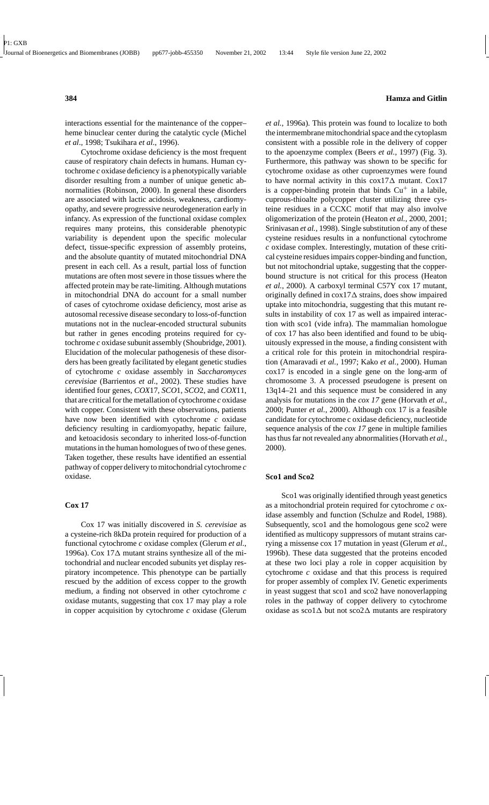interactions essential for the maintenance of the copper– heme binuclear center during the catalytic cycle (Michel *et al*., 1998; Tsukihara *et al*., 1996).

Cytochrome oxidase deficiency is the most frequent cause of respiratory chain defects in humans. Human cytochrome *c* oxidase deficiency is a phenotypically variable disorder resulting from a number of unique genetic abnormalities (Robinson, 2000). In general these disorders are associated with lactic acidosis, weakness, cardiomyopathy, and severe progressive neurodegeneration early in infancy. As expression of the functional oxidase complex requires many proteins, this considerable phenotypic variability is dependent upon the specific molecular defect, tissue-specific expression of assembly proteins, and the absolute quantity of mutated mitochondrial DNA present in each cell. As a result, partial loss of function mutations are often most severe in those tissues where the affected protein may be rate-limiting. Although mutations in mitochondrial DNA do account for a small number of cases of cytochrome oxidase deficiency, most arise as autosomal recessive disease secondary to loss-of-function mutations not in the nuclear-encoded structural subunits but rather in genes encoding proteins required for cytochrome *c* oxidase subunit assembly (Shoubridge, 2001). Elucidation of the molecular pathogenesis of these disorders has been greatly facilitated by elegant genetic studies of cytochrome *c* oxidase assembly in *Saccharomyces cerevisiae* (Barrientos *et al*., 2002). These studies have identified four genes, *COX*17, *SCO*1, *SCO*2, and *COX*11, that are critical for the metallation of cytochrome *c* oxidase with copper. Consistent with these observations, patients have now been identified with cytochrome *c* oxidase deficiency resulting in cardiomyopathy, hepatic failure, and ketoacidosis secondary to inherited loss-of-function mutations in the human homologues of two of these genes. Taken together, these results have identified an essential pathway of copper delivery to mitochondrial cytochrome *c* oxidase.

## **Cox 17**

Cox 17 was initially discovered in *S. cerevisiae* as a cysteine-rich 8kDa protein required for production of a functional cytochrome *c* oxidase complex (Glerum *et al.*, 1996a). Cox 17 $\Delta$  mutant strains synthesize all of the mitochondrial and nuclear encoded subunits yet display respiratory incompetence. This phenotype can be partially rescued by the addition of excess copper to the growth medium, a finding not observed in other cytochrome *c* oxidase mutants, suggesting that cox 17 may play a role in copper acquisition by cytochrome *c* oxidase (Glerum *et al.*, 1996a). This protein was found to localize to both the intermembrane mitochondrial space and the cytoplasm consistent with a possible role in the delivery of copper to the apoenzyme complex (Beers *et al.*, 1997) (Fig. 3). Furthermore, this pathway was shown to be specific for cytochrome oxidase as other cuproenzymes were found to have normal activity in this cox17 $\Delta$  mutant. Cox17 is a copper-binding protein that binds  $Cu<sup>+</sup>$  in a labile, cuprous-thioalte polycopper cluster utilizing three cysteine residues in a CCXC motif that may also involve oligomerization of the protein (Heaton *et al.*, 2000, 2001; Srinivasan *et al.*, 1998). Single substitution of any of these cysteine residues results in a nonfunctional cytochrome *c* oxidase complex. Interestingly, mutation of these critical cysteine residues impairs copper-binding and function, but not mitochondrial uptake, suggesting that the copperbound structure is not critical for this process (Heaton *et al.*, 2000). A carboxyl terminal C57Y cox 17 mutant, originally defined in  $\cos 17\Delta$  strains, does show impaired uptake into mitochondria, suggesting that this mutant results in instability of cox 17 as well as impaired interaction with sco1 (vide infra). The mammalian homologue of cox 17 has also been identified and found to be ubiquitously expressed in the mouse, a finding consistent with a critical role for this protein in mitochondrial respiration (Amaravadi *et al.*, 1997; Kako *et al.*, 2000). Human cox17 is encoded in a single gene on the long-arm of chromosome 3. A processed pseudogene is present on 13q14–21 and this sequence must be considered in any analysis for mutations in the *cox 17* gene (Horvath *et al.*, 2000; Punter *et al.*, 2000). Although cox 17 is a feasible candidate for cytochrome c oxidase deficiency, nucleotide sequence analysis of the *cox 17* gene in multiple families has thus far not revealed any abnormalities (Horvath *et al.*, 2000).

#### **Sco1 and Sco2**

Sco1 was originally identified through yeast genetics as a mitochondrial protein required for cytochrome *c* oxidase assembly and function (Schulze and Rodel, 1988). Subsequently, sco1 and the homologous gene sco2 were identified as multicopy suppressors of mutant strains carrying a missense cox 17 mutation in yeast (Glerum *et al.*, 1996b). These data suggested that the proteins encoded at these two loci play a role in copper acquisition by cytochrome *c* oxidase and that this process is required for proper assembly of complex IV. Genetic experiments in yeast suggest that sco1 and sco2 have nonoverlapping roles in the pathway of copper delivery to cytochrome oxidase as sco1 $\Delta$  but not sco2 $\Delta$  mutants are respiratory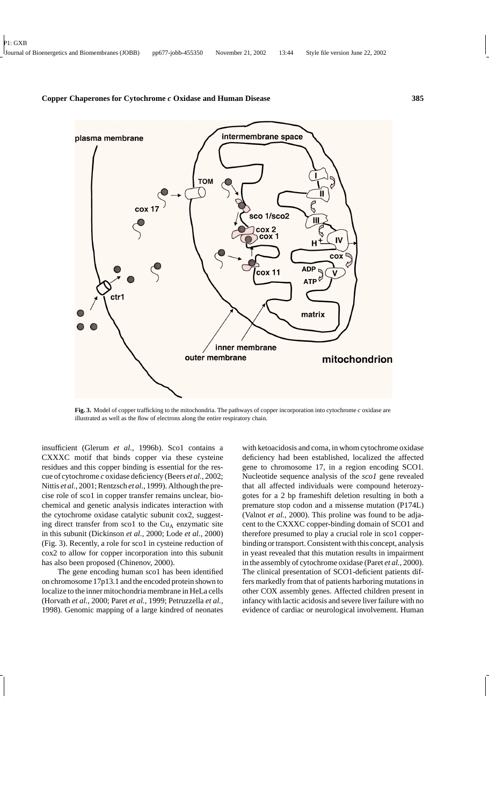

**Fig. 3.** Model of copper trafficking to the mitochondria. The pathways of copper incorporation into cytochrome *c* oxidase are illustrated as well as the flow of electrons along the entire respiratory chain.

insufficient (Glerum *et al.*, 1996b). Sco1 contains a CXXXC motif that binds copper via these cysteine residues and this copper binding is essential for the rescue of cytochrome *c* oxidase deficiency (Beers *et al.*, 2002; Nittis *et al.*, 2001; Rentzsch *et al.*, 1999). Although the precise role of sco1 in copper transfer remains unclear, biochemical and genetic analysis indicates interaction with the cytochrome oxidase catalytic subunit cox2, suggesting direct transfer from sco1 to the  $Cu<sub>A</sub>$  enzymatic site in this subunit (Dickinson *et al.*, 2000; Lode *et al.*, 2000) (Fig. 3). Recently, a role for sco1 in cysteine reduction of cox2 to allow for copper incorporation into this subunit has also been proposed (Chinenov, 2000).

The gene encoding human sco1 has been identified on chromosome 17p13.1 and the encoded protein shown to localize to the inner mitochondria membrane in HeLa cells (Horvath *et al.*, 2000; Paret *et al.*, 1999; Petruzzella *et al.*, 1998). Genomic mapping of a large kindred of neonates

with ketoacidosis and coma, in whom cytochrome oxidase deficiency had been established, localized the affected gene to chromosome 17, in a region encoding SCO1. Nucleotide sequence analysis of the *sco1* gene revealed that all affected individuals were compound heterozygotes for a 2 bp frameshift deletion resulting in both a premature stop codon and a missense mutation (P174L) (Valnot *et al.*, 2000). This proline was found to be adjacent to the CXXXC copper-binding domain of SCO1 and therefore presumed to play a crucial role in sco1 copperbinding or transport. Consistent with this concept, analysis in yeast revealed that this mutation results in impairment in the assembly of cytochrome oxidase (Paret *et al.*, 2000). The clinical presentation of SCO1-deficient patients differs markedly from that of patients harboring mutations in other COX assembly genes. Affected children present in infancy with lactic acidosis and severe liver failure with no evidence of cardiac or neurological involvement. Human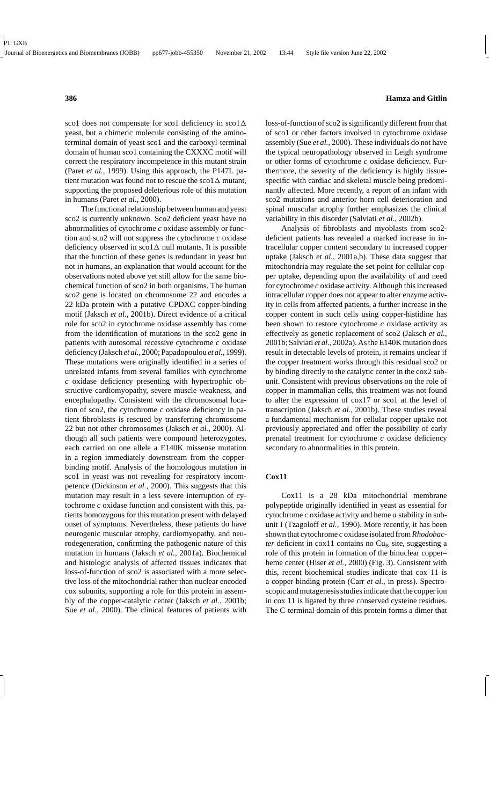sco1 does not compensate for sco1 deficiency in sco1 $\Delta$ yeast, but a chimeric molecule consisting of the aminoterminal domain of yeast sco1 and the carboxyl-terminal domain of human sco1 containing the CXXXC motif will correct the respiratory incompetence in this mutant strain (Paret *et al.*, 1999). Using this approach, the P147L patient mutation was found not to rescue the sco1 $\Delta$  mutant, supporting the proposed deleterious role of this mutation in humans (Paret *et al.*, 2000).

The functional relationship between human and yeast sco2 is currently unknown. Sco2 deficient yeast have no abnormalities of cytochrome *c* oxidase assembly or function and sco2 will not suppress the cytochrome *c* oxidase deficiency observed in  $\text{scol}\,\Delta$  null mutants. It is possible that the function of these genes is redundant in yeast but not in humans, an explanation that would account for the observations noted above yet still allow for the same biochemical function of sco2 in both organisms. The human *sco2* gene is located on chromosome 22 and encodes a 22 kDa protein with a putative CPDXC copper-binding motif (Jaksch *et al.*, 2001b). Direct evidence of a critical role for sco2 in cytochrome oxidase assembly has come from the identification of mutations in the sco2 gene in patients with autosomal recessive cytochrome *c* oxidase deficiency (Jaksch *et al.*, 2000; Papadopoulou *et al.*, 1999). These mutations were originally identified in a series of unrelated infants from several families with cytochrome *c* oxidase deficiency presenting with hypertrophic obstructive cardiomyopathy, severe muscle weakness, and encephalopathy. Consistent with the chromosomal location of sco2, the cytochrome *c* oxidase deficiency in patient fibroblasts is rescued by transferring chromosome 22 but not other chromosomes (Jaksch *et al.*, 2000). Although all such patients were compound heterozygotes, each carried on one allele a E140K missense mutation in a region immediately downstream from the copperbinding motif. Analysis of the homologous mutation in sco1 in yeast was not revealing for respiratory incompetence (Dickinson *et al.*, 2000). This suggests that this mutation may result in a less severe interruption of cytochrome *c* oxidase function and consistent with this, patients homozygous for this mutation present with delayed onset of symptoms. Nevertheless, these patients do have neurogenic muscular atrophy, cardiomyopathy, and neurodegeneration, confirming the pathogenic nature of this mutation in humans (Jaksch *et al.*, 2001a). Biochemical and histologic analysis of affected tissues indicates that loss-of-function of sco2 is associated with a more selective loss of the mitochondrial rather than nuclear encoded cox subunits, supporting a role for this protein in assembly of the copper-catalytic center (Jaksch *et al.*, 2001b; Sue *et al.*, 2000). The clinical features of patients with

loss-of-function of sco2 is significantly different from that of sco1 or other factors involved in cytochrome oxidase assembly (Sue *et al.*, 2000). These individuals do not have the typical neuropathology observed in Leigh syndrome or other forms of cytochrome *c* oxidase deficiency. Furthermore, the severity of the deficiency is highly tissuespecific with cardiac and skeletal muscle being predominantly affected. More recently, a report of an infant with sco2 mutations and anterior horn cell deterioration and spinal muscular atrophy further emphasizes the clinical variability in this disorder (Salviati *et al.*, 2002b).

Analysis of fibroblasts and myoblasts from sco2 deficient patients has revealed a marked increase in intracellular copper content secondary to increased copper uptake (Jaksch *et al.*, 2001a,b). These data suggest that mitochondria may regulate the set point for cellular copper uptake, depending upon the availability of and need for cytochrome *c* oxidase activity. Although this increased intracellular copper does not appear to alter enzyme activity in cells from affected patients, a further increase in the copper content in such cells using copper-histidine has been shown to restore cytochrome *c* oxidase activity as effectively as genetic replacement of sco2 (Jaksch *et al.*, 2001b; Salviati *et al.*, 2002a). As the E140K mutation does result in detectable levels of protein, it remains unclear if the copper treatment works through this residual sco2 or by binding directly to the catalytic center in the cox2 subunit. Consistent with previous observations on the role of copper in mammalian cells, this treatment was not found to alter the expression of cox17 or sco1 at the level of transcription (Jaksch *et al.*, 2001b). These studies reveal a fundamental mechanism for cellular copper uptake not previously appreciated and offer the possibility of early prenatal treatment for cytochrome *c* oxidase deficiency secondary to abnormalities in this protein.

# **Cox11**

Cox11 is a 28 kDa mitochondrial membrane polypeptide originally identified in yeast as essential for cytochrome *c* oxidase activity and heme *a* stability in subunit I (Tzagoloff *et al.*, 1990). More recently, it has been shown that cytochrome *c* oxidase isolated from*Rhodobacter* deficient in cox11 contains no Cu<sub>B</sub> site, suggesting a role of this protein in formation of the binuclear copper– heme center (Hiser *et al.*, 2000) (Fig. 3). Consistent with this, recent biochemical studies indicate that cox 11 is a copper-binding protein (Carr *et al.*, in press). Spectroscopic and mutagenesis studies indicate that the copper ion in cox 11 is ligated by three conserved cysteine residues. The C-terminal domain of this protein forms a dimer that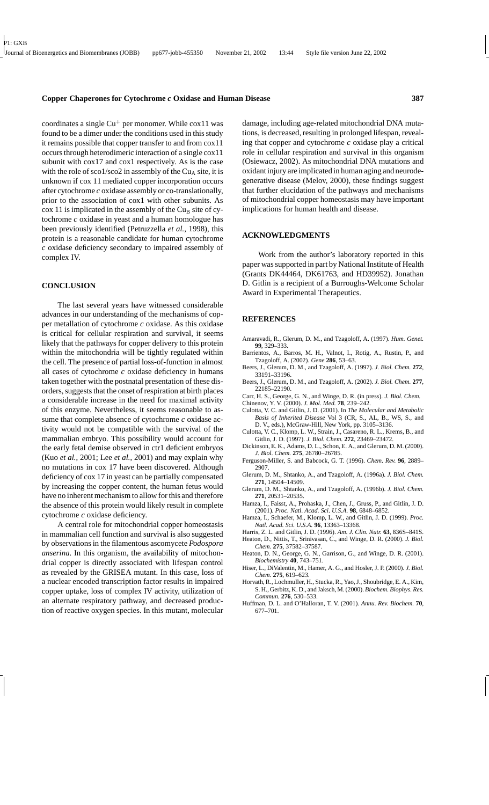coordinates a single  $Cu<sup>+</sup>$  per monomer. While cox11 was found to be a dimer under the conditions used in this study it remains possible that copper transfer to and from cox11 occurs through heterodimeric interaction of a single cox11 subunit with cox17 and cox1 respectively. As is the case with the role of sco1/sco2 in assembly of the  $Cu<sub>A</sub>$  site, it is unknown if cox 11 mediated copper incorporation occurs after cytochrome *c* oxidase assembly or co-translationally, prior to the association of cox1 with other subunits. As  $\cos 11$  is implicated in the assembly of the Cu<sub>B</sub> site of cytochrome *c* oxidase in yeast and a human homologue has been previously identified (Petruzzella *et al.*, 1998), this protein is a reasonable candidate for human cytochrome

*c* oxidase deficiency secondary to impaired assembly of

#### **CONCLUSION**

complex IV.

The last several years have witnessed considerable advances in our understanding of the mechanisms of copper metallation of cytochrome *c* oxidase. As this oxidase is critical for cellular respiration and survival, it seems likely that the pathways for copper delivery to this protein within the mitochondria will be tightly regulated within the cell. The presence of partial loss-of-function in almost all cases of cytochrome *c* oxidase deficiency in humans taken together with the postnatal presentation of these disorders, suggests that the onset of respiration at birth places a considerable increase in the need for maximal activity of this enzyme. Nevertheless, it seems reasonable to assume that complete absence of cytochrome *c* oxidase activity would not be compatible with the survival of the mammalian embryo. This possibility would account for the early fetal demise observed in ctr1 deficient embryos (Kuo *et al.*, 2001; Lee *et al.*, 2001) and may explain why no mutations in cox 17 have been discovered. Although deficiency of cox 17 in yeast can be partially compensated by increasing the copper content, the human fetus would have no inherent mechanism to allow for this and therefore the absence of this protein would likely result in complete cytochrome *c* oxidase deficiency.

A central role for mitochondrial copper homeostasis in mammalian cell function and survival is also suggested by observations in the filamentous ascomycete *Podospora anserina*. In this organism, the availability of mitochondrial copper is directly associated with lifespan control as revealed by the GRISEA mutant. In this case, loss of a nuclear encoded transcription factor results in impaired copper uptake, loss of complex IV activity, utilization of an alternate respiratory pathway, and decreased production of reactive oxygen species. In this mutant, molecular

damage, including age-related mitochondrial DNA mutations, is decreased, resulting in prolonged lifespan, revealing that copper and cytochrome *c* oxidase play a critical role in cellular respiration and survival in this organism (Osiewacz, 2002). As mitochondrial DNA mutations and oxidant injury are implicated in human aging and neurodegenerative disease (Melov, 2000), these findings suggest that further elucidation of the pathways and mechanisms of mitochondrial copper homeostasis may have important implications for human health and disease.

#### **ACKNOWLEDGMENTS**

Work from the author's laboratory reported in this paper was supported in part by National Institute of Health (Grants DK44464, DK61763, and HD39952). Jonathan D. Gitlin is a recipient of a Burroughs-Welcome Scholar Award in Experimental Therapeutics.

## **REFERENCES**

- Amaravadi, R., Glerum, D. M., and Tzagoloff, A. (1997). *Hum. Genet.* **99**, 329–333.
- Barrientos, A., Barros, M. H., Valnot, I., Rotig, A., Rustin, P., and Tzagoloff, A. (2002). *Gene* **286**, 53–63.
- Beers, J., Glerum, D. M., and Tzagoloff, A. (1997). *J. Biol. Chem.* **272**, 33191–33196.
- Beers, J., Glerum, D. M., and Tzagoloff, A. (2002). *J. Biol. Chem.* **277**, 22185–22190.
- Carr, H. S., George, G. N., and Winge, D. R. (in press). *J. Biol. Chem.*
- Chinenov, Y. V. (2000). *J. Mol. Med.* **78**, 239–242.
- Culotta, V. C. and Gitlin, J. D. (2001). In *The Molecular and Metabolic Basis of Inherited Disease* Vol 3 (CR, S., AL, B., WS, S., and D. V., eds.), McGraw-Hill, New York, pp. 3105–3136.
- Culotta, V. C., Klomp, L. W., Strain, J., Casareno, R. L., Krems, B., and Gitlin, J. D. (1997). *J. Biol. Chem.* **272**, 23469–23472.
- Dickinson, E. K., Adams, D. L., Schon, E. A., and Glerum, D. M. (2000). *J. Biol. Chem.* **275**, 26780–26785.
- Ferguson-Miller, S. and Babcock, G. T. (1996). *Chem. Rev.* **96**, 2889– 2907.
- Glerum, D. M., Shtanko, A., and Tzagoloff, A. (1996a). *J. Biol. Chem.* **271**, 14504–14509.
- Glerum, D. M., Shtanko, A., and Tzagoloff, A. (1996b). *J. Biol. Chem.* **271**, 20531–20535.
- Hamza, I., Faisst, A., Prohaska, J., Chen, J., Gruss, P., and Gitlin, J. D. (2001). *Proc. Natl. Acad. Sci. U.S.A.* **98**, 6848–6852.
- Hamza, I., Schaefer, M., Klomp, L. W., and Gitlin, J. D. (1999). *Proc. Natl. Acad. Sci. U.S.A.* **96**, 13363–13368.
- Harris, Z. L. and Gitlin, J. D. (1996). *Am. J. Clin. Nutr.* **63**, 836S–841S.
- Heaton, D., Nittis, T., Srinivasan, C., and Winge, D. R. (2000). *J. Biol. Chem.* **275**, 37582–37587.
- Heaton, D. N., George, G. N., Garrison, G., and Winge, D. R. (2001). *Biochemistry* **40**, 743–751.
- Hiser, L., DiValentin, M., Hamer, A. G., and Hosler, J. P. (2000). *J. Biol. Chem.* **275**, 619–623.
- Horvath, R., Lochmuller, H., Stucka, R., Yao, J., Shoubridge, E. A., Kim, S. H., Gerbitz, K. D., and Jaksch, M. (2000). *Biochem. Biophys. Res. Commun.* **276**, 530–533.
- Huffman, D. L. and O'Halloran, T. V. (2001). *Annu. Rev. Biochem.* **70**, 677–701.